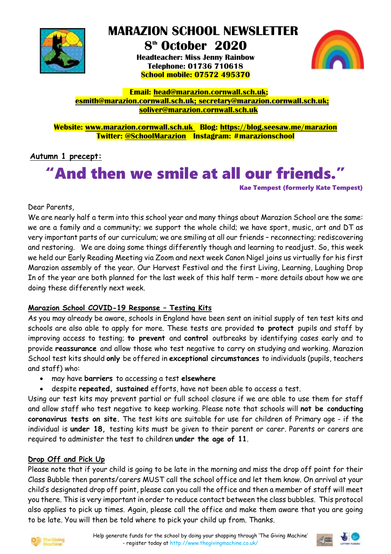

 **MARAZION SCHOOL NEWSLETTER**

### **8 th October 2020 Headteacher: Miss Jenny Rainbow Telephone: 01736 710618 School mobile: 07572 495370**



 **Email: [head@marazion.cornwall.sch.uk;](mailto:head@marazion.cornwall.sch.uk) [esmith@marazion.cornwall.sch.uk;](mailto:esmith@marazion.cornwall.sch.uk) secretary@marazion.cornwall.sch.uk; soliver@marazion.cornwall.sch.uk**

**Website: [www.marazion.cornwall.sch.uk](http://www.marazion.cornwall.sch.uk/) Blog: <https://blog.seesaw.me/marazion> Twitter: @SchoolMarazion Instagram: #marazionschool**

# **Autumn 1 precept:**

# "And then we smile at all our friends."

Kae Tempest (formerly Kate Tempest)

Dear Parents,

We are nearly half a term into this school year and many things about Marazion School are the same: we are a family and a community; we support the whole child; we have sport, music, art and DT as very important parts of our curriculum; we are smiling at all our friends – reconnecting; rediscovering and restoring. We are doing some things differently though and learning to readjust. So, this week we held our Early Reading Meeting via Zoom and next week Canon Nigel joins us virtually for his first Marazion assembly of the year. Our Harvest Festival and the first Living, Learning, Laughing Drop In of the year are both planned for the last week of this half term – more details about how we are doing these differently next week.

#### **Marazion School COVID-19 Response – Testing Kits**

As you may already be aware, schools in England have been sent an initial supply of ten test kits and schools are also able to apply for more. These tests are provided **to protect** pupils and staff by improving access to testing; **to prevent** and **control** outbreaks by identifying cases early and to provide **reassurance** and allow those who test negative to carry on studying and working. Marazion School test kits should **only** be offered in **exceptional circumstances** to individuals (pupils, teachers and staff) who:

- may have **barriers** to accessing a test **elsewhere**
- despite **repeated, sustained** efforts, have not been able to access a test.

Using our test kits may prevent partial or full school closure if we are able to use them for staff and allow staff who test negative to keep working. Please note that schools will **not be conducting coronavirus tests on site.** The test kits are suitable for use for children of Primary age - if the individual is **under 18,** testing kits must be given to their parent or carer. Parents or carers are required to administer the test to children **under the age of 11**.

### **Drop Off and Pick Up**

Please note that if your child is going to be late in the morning and miss the drop off point for their Class Bubble then parents/carers MUST call the school office and let them know. On arrival at your child's designated drop off point, please can you call the office and then a member of staff will meet you there. This is very important in order to reduce contact between the class bubbles. This protocol also applies to pick up times. Again, please call the office and make them aware that you are going to be late. You will then be told where to pick your child up from. Thanks.



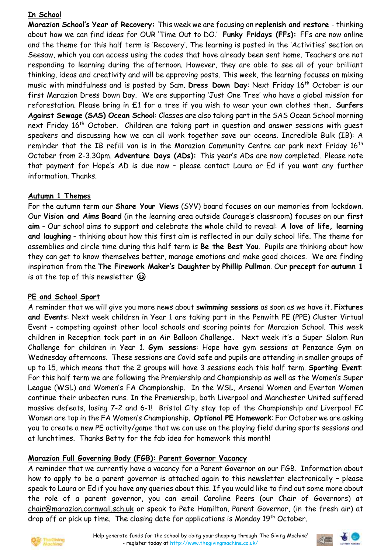### **In School**

**Marazion School's Year of Recovery:** This week we are focusing on **replenish and restore** - thinking about how we can find ideas for OUR 'Time Out to DO.' **Funky Fridays (FFs):** FFs are now online and the theme for this half term is 'Recovery'. The learning is posted in the 'Activities' section on Seesaw, which you can access using the codes that have already been sent home. Teachers are not responding to learning during the afternoon. However, they are able to see all of your brilliant thinking, ideas and creativity and will be approving posts. This week, the learning focuses on mixing music with mindfulness and is posted by Sam. **Dress Down Day**: Next Friday 16th October is our first Marazion Dress Down Day. We are supporting 'Just One Tree' who have a global mission for reforestation. Please bring in £1 for a tree if you wish to wear your own clothes then**. Surfers Against Sewage (SAS) Ocean School**: Classes are also taking part in the SAS Ocean School morning next Friday 16<sup>th</sup> October. Children are taking part in question and answer sessions with quest speakers and discussing how we can all work together save our oceans. Incredible Bulk (IB): A reminder that the IB refill van is in the Marazion Community Centre car park next Friday 16<sup>th</sup> October from 2-3.30pm. **Adventure Days (ADs):** This year's ADs are now completed. Please note that payment for Hope's AD is due now – please contact Laura or Ed if you want any further information. Thanks.

### **Autumn 1 Themes**

For the autumn term our **Share Your Views** (SYV) board focuses on our memories from lockdown. Our **Vision and Aims Board** (in the learning area outside Courage's classroom) focuses on our **first aim** - Our school aims to support and celebrate the whole child to reveal: **A love of life, learning and laughing** - thinking about how this first aim is reflected in our daily school life. The theme for assemblies and circle time during this half term is **Be the Best You**. Pupils are thinking about how they can get to know themselves better, manage emotions and make good choices. We are finding inspiration from the **The Firework Maker's Daughter** by **Phillip Pullman**. Our **precept** for **autumn 1**  is at the top of this newsletter  $\odot$ 

### **PE and School Sport**

A reminder that we will give you more news about **swimming sessions** as soon as we have it. **Fixtures and Events**: Next week children in Year 1 are taking part in the Penwith PE (PPE) Cluster Virtual Event - competing against other local schools and scoring points for Marazion School. This week children in Reception took part in an Air Balloon Challenge**.** Next week it's a Super Slalom Run Challenge for children in Year 1. **Gym sessions**: Hope have gym sessions at Penzance Gym on Wednesday afternoons. These sessions are Covid safe and pupils are attending in smaller groups of up to 15, which means that the 2 groups will have 3 sessions each this half term. **Sporting Event**: For this half term we are following the Premiership and Championship as well as the Women's Super League (WSL) and Women's FA Championship. In the WSL, Arsenal Women and Everton Women continue their unbeaten runs. In the Premiership, both Liverpool and Manchester United suffered massive defeats, losing 7-2 and 6-1! Bristol City stay top of the Championship and Liverpool FC Women are top in the FA Women's Championship. **Optional PE Homework**: For October we are asking you to create a new PE activity/game that we can use on the playing field during sports sessions and at lunchtimes. Thanks Betty for the fab idea for homework this month!

### **Marazion Full Governing Body (FGB): Parent Governor Vacancy**

A reminder that we currently have a vacancy for a Parent Governor on our FGB. Information about how to apply to be a parent governor is attached again to this newsletter electronically – please speak to Laura or Ed if you have any queries about this. If you would like to find out some more about the role of a parent governor, you can email Caroline Peers (our Chair of Governors) at [chair@marazion.cornwall.sch.uk](mailto:chair@marazion.cornwall.sch.uk) or speak to Pete Hamilton, Parent Governor, (in the fresh air) at drop off or pick up time. The closing date for applications is Monday 19<sup>th</sup> October.